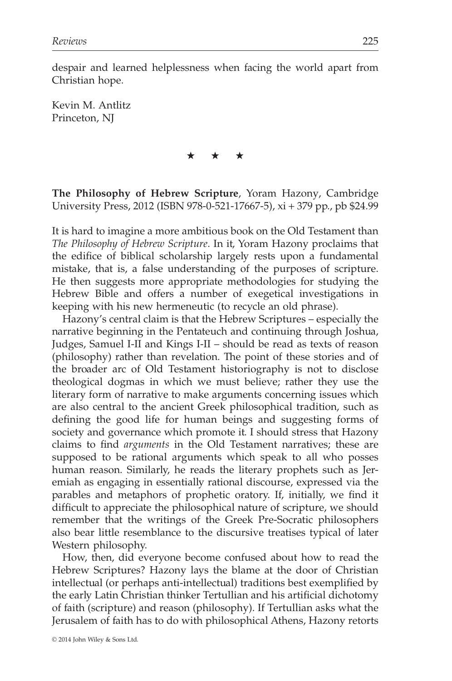despair and learned helplessness when facing the world apart from Christian hope.

Kevin M. Antlitz Princeton, NJ

★★★

**The Philosophy of Hebrew Scripture**, Yoram Hazony, Cambridge University Press, 2012 (ISBN 978-0-521-17667-5), xi + 379 pp., pb \$24.99

It is hard to imagine a more ambitious book on the Old Testament than *The Philosophy of Hebrew Scripture*. In it, Yoram Hazony proclaims that the edifice of biblical scholarship largely rests upon a fundamental mistake, that is, a false understanding of the purposes of scripture. He then suggests more appropriate methodologies for studying the Hebrew Bible and offers a number of exegetical investigations in keeping with his new hermeneutic (to recycle an old phrase).

Hazony's central claim is that the Hebrew Scriptures – especially the narrative beginning in the Pentateuch and continuing through Joshua, Judges, Samuel I-II and Kings I-II – should be read as texts of reason (philosophy) rather than revelation. The point of these stories and of the broader arc of Old Testament historiography is not to disclose theological dogmas in which we must believe; rather they use the literary form of narrative to make arguments concerning issues which are also central to the ancient Greek philosophical tradition, such as defining the good life for human beings and suggesting forms of society and governance which promote it. I should stress that Hazony claims to find *arguments* in the Old Testament narratives; these are supposed to be rational arguments which speak to all who posses human reason. Similarly, he reads the literary prophets such as Jeremiah as engaging in essentially rational discourse, expressed via the parables and metaphors of prophetic oratory. If, initially, we find it difficult to appreciate the philosophical nature of scripture, we should remember that the writings of the Greek Pre-Socratic philosophers also bear little resemblance to the discursive treatises typical of later Western philosophy.

How, then, did everyone become confused about how to read the Hebrew Scriptures? Hazony lays the blame at the door of Christian intellectual (or perhaps anti-intellectual) traditions best exemplified by the early Latin Christian thinker Tertullian and his artificial dichotomy of faith (scripture) and reason (philosophy). If Tertullian asks what the Jerusalem of faith has to do with philosophical Athens, Hazony retorts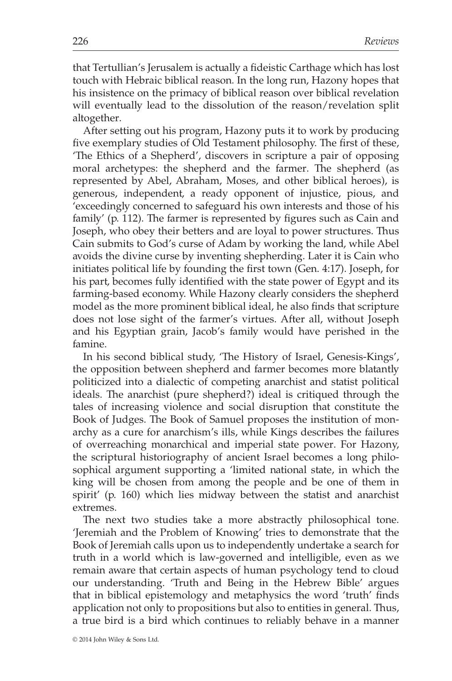that Tertullian's Jerusalem is actually a fideistic Carthage which has lost touch with Hebraic biblical reason. In the long run, Hazony hopes that his insistence on the primacy of biblical reason over biblical revelation will eventually lead to the dissolution of the reason/revelation split altogether.

After setting out his program, Hazony puts it to work by producing five exemplary studies of Old Testament philosophy. The first of these, 'The Ethics of a Shepherd', discovers in scripture a pair of opposing moral archetypes: the shepherd and the farmer. The shepherd (as represented by Abel, Abraham, Moses, and other biblical heroes), is generous, independent, a ready opponent of injustice, pious, and 'exceedingly concerned to safeguard his own interests and those of his family' (p. 112). The farmer is represented by figures such as Cain and Joseph, who obey their betters and are loyal to power structures. Thus Cain submits to God's curse of Adam by working the land, while Abel avoids the divine curse by inventing shepherding. Later it is Cain who initiates political life by founding the first town (Gen. 4:17). Joseph, for his part, becomes fully identified with the state power of Egypt and its farming-based economy. While Hazony clearly considers the shepherd model as the more prominent biblical ideal, he also finds that scripture does not lose sight of the farmer's virtues. After all, without Joseph and his Egyptian grain, Jacob's family would have perished in the famine.

In his second biblical study, 'The History of Israel, Genesis-Kings', the opposition between shepherd and farmer becomes more blatantly politicized into a dialectic of competing anarchist and statist political ideals. The anarchist (pure shepherd?) ideal is critiqued through the tales of increasing violence and social disruption that constitute the Book of Judges. The Book of Samuel proposes the institution of monarchy as a cure for anarchism's ills, while Kings describes the failures of overreaching monarchical and imperial state power. For Hazony, the scriptural historiography of ancient Israel becomes a long philosophical argument supporting a 'limited national state, in which the king will be chosen from among the people and be one of them in spirit' (p. 160) which lies midway between the statist and anarchist extremes.

The next two studies take a more abstractly philosophical tone. 'Jeremiah and the Problem of Knowing' tries to demonstrate that the Book of Jeremiah calls upon us to independently undertake a search for truth in a world which is law-governed and intelligible, even as we remain aware that certain aspects of human psychology tend to cloud our understanding. 'Truth and Being in the Hebrew Bible' argues that in biblical epistemology and metaphysics the word 'truth' finds application not only to propositions but also to entities in general. Thus, a true bird is a bird which continues to reliably behave in a manner